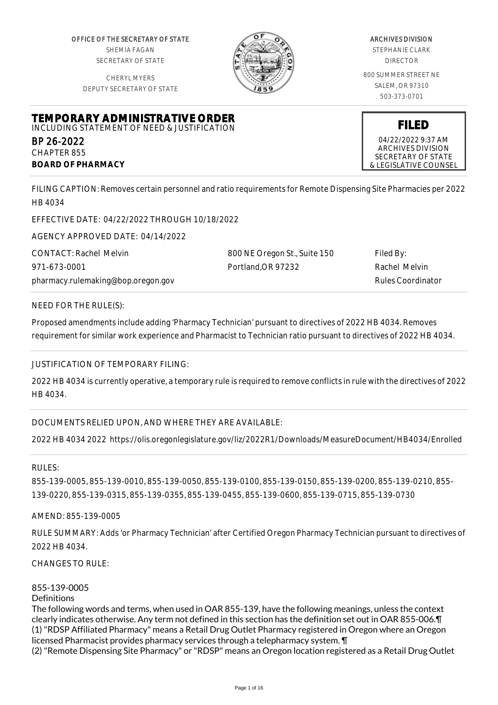OFFICE OF THE SECRETARY OF STATE SHEMIA FAGAN SECRETARY OF STATE

CHERYL MYERS DEPUTY SECRETARY OF STATE

**TEMPORARY ADMINISTRATIVE ORDER** INCLUDING STATEMENT OF NEED & JUSTIFICATION



#### ARCHIVES DIVISION STEPHANIE CLARK

DIRECTOR

800 SUMMER STREET NE SALEM, OR 97310 503-373-0701

**FILED**

04/22/2022 9:37 AM ARCHIVES DIVISION SECRETARY OF STATE & LEGISLATIVE COUNSEL

FILING CAPTION: Removes certain personnel and ratio requirements for Remote Dispensing Site Pharmacies per 2022

HB 4034

BP 26-2022 CHAPTER 855

**BOARD OF PHARMACY**

EFFECTIVE DATE: 04/22/2022 THROUGH 10/18/2022

AGENCY APPROVED DATE: 04/14/2022

CONTACT: Rachel Melvin 971-673-0001 pharmacy.rulemaking@bop.oregon.gov 800 NE Oregon St., Suite 150 Portland,OR 97232 Filed By: Rachel Melvin Rules Coordinator

NEED FOR THE RULE(S):

Proposed amendments include adding 'Pharmacy Technician' pursuant to directives of 2022 HB 4034. Removes requirement for similar work experience and Pharmacist to Technician ratio pursuant to directives of 2022 HB 4034.

# JUSTIFICATION OF TEMPORARY FILING:

2022 HB 4034 is currently operative, a temporary rule is required to remove conflicts in rule with the directives of 2022 HB 4034.

# DOCUMENTS RELIED UPON, AND WHERE THEY ARE AVAILABLE:

2022 HB 4034 2022 https://olis.oregonlegislature.gov/liz/2022R1/Downloads/MeasureDocument/HB4034/Enrolled

RULES:

855-139-0005, 855-139-0010, 855-139-0050, 855-139-0100, 855-139-0150, 855-139-0200, 855-139-0210, 855- 139-0220, 855-139-0315, 855-139-0355, 855-139-0455, 855-139-0600, 855-139-0715, 855-139-0730

AMEND: 855-139-0005

RULE SUMMARY: Adds 'or Pharmacy Technician' after Certified Oregon Pharmacy Technician pursuant to directives of 2022 HB 4034.

CHANGES TO RULE:

#### 855-139-0005

#### Definitions

The following words and terms, when used in OAR 855-139, have the following meanings, unless the context clearly indicates otherwise. Any term not defined in this section has the definition set out in OAR 855-006.¶ (1) "RDSP Affiliated Pharmacy" means a Retail Drug Outlet Pharmacy registered in Oregon where an Oregon licensed Pharmacist provides pharmacy services through a telepharmacy system. ¶

(2) "Remote Dispensing Site Pharmacy" or "RDSP" means an Oregon location registered as a Retail Drug Outlet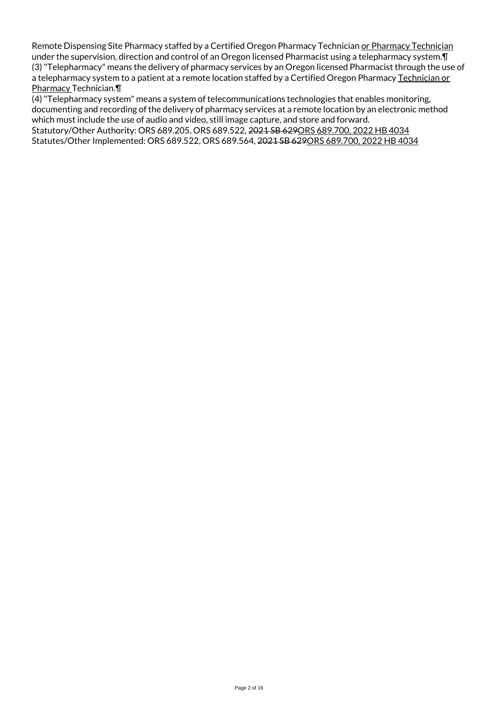Remote Dispensing Site Pharmacy staffed by a Certified Oregon Pharmacy Technician or Pharmacy Technician under the supervision, direction and control of an Oregon licensed Pharmacist using a telepharmacy system.¶ (3) "Telepharmacy" means the delivery of pharmacy services by an Oregon licensed Pharmacist through the use of a telepharmacy system to a patient at a remote location staffed by a Certified Oregon Pharmacy Technician or Pharmacy Technician.¶

(4) "Telepharmacy system" means a system of telecommunications technologies that enables monitoring, documenting and recording of the delivery of pharmacy services at a remote location by an electronic method which must include the use of audio and video, still image capture, and store and forward. Statutory/Other Authority: ORS 689.205, ORS 689.522, 2021 SB 629ORS 689.700, 2022 HB 4034 Statutes/Other Implemented: ORS 689.522, ORS 689.564, 2021 SB 629ORS 689.700, 2022 HB 4034

Page 2 of 16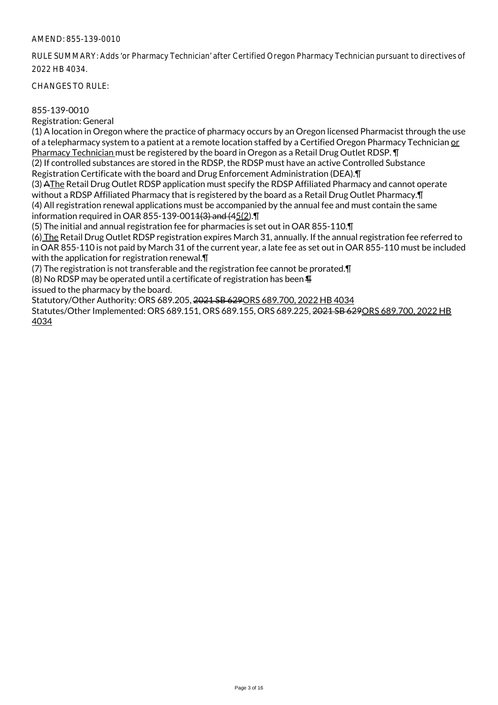RULE SUMMARY: Adds 'or Pharmacy Technician' after Certified Oregon Pharmacy Technician pursuant to directives of 2022 HB 4034.

CHANGES TO RULE:

## 855-139-0010

Registration: General

(1) A location in Oregon where the practice of pharmacy occurs by an Oregon licensed Pharmacist through the use of a telepharmacy system to a patient at a remote location staffed by a Certified Oregon Pharmacy Technician or Pharmacy Technician must be registered by the board in Oregon as a Retail Drug Outlet RDSP. ¶

(2) If controlled substances are stored in the RDSP, the RDSP must have an active Controlled Substance Registration Certificate with the board and Drug Enforcement Administration (DEA).¶

(3) AThe Retail Drug Outlet RDSP application must specify the RDSP Affiliated Pharmacy and cannot operate without a RDSP Affiliated Pharmacy that is registered by the board as a Retail Drug Outlet Pharmacy.¶ (4) All registration renewal applications must be accompanied by the annual fee and must contain the same information required in OAR 855-139-0014 $(3)$  and  $(45(2)$ .  $\P$ 

(5) The initial and annual registration fee for pharmacies is set out in OAR 855-110.¶

(6) The Retail Drug Outlet RDSP registration expires March 31, annually. If the annual registration fee referred to in OAR 855-110 is not paid by March 31 of the current year, a late fee as set out in OAR 855-110 must be included with the application for registration renewal.¶

(7) The registration is not transferable and the registration fee cannot be prorated.¶

(8) No RDSP may be operated until a certificate of registration has been  $\P$ 

issued to the pharmacy by the board.

Statutory/Other Authority: ORS 689.205, 2021 SB 629ORS 689.700, 2022 HB 4034

Statutes/Other Implemented: ORS 689.151, ORS 689.155, ORS 689.225, 2021 SB 629ORS 689.700, 2022 HB 4034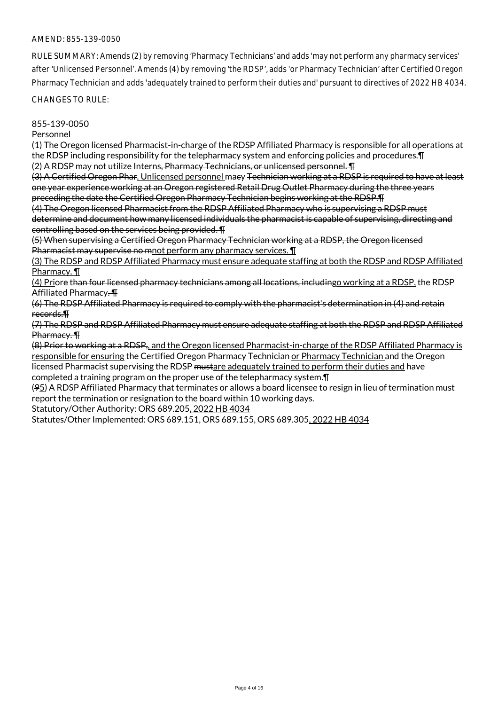RULE SUMMARY: Amends (2) by removing 'Pharmacy Technicians' and adds 'may not perform any pharmacy services' after 'Unlicensed Personnel'. Amends (4) by removing 'the RDSP', adds 'or Pharmacy Technician' after Certified Oregon Pharmacy Technician and adds 'adequately trained to perform their duties and' pursuant to directives of 2022 HB 4034.

CHANGES TO RULE:

855-139-0050

Personnel

(1) The Oregon licensed Pharmacist-in-charge of the RDSP Affiliated Pharmacy is responsible for all operations at the RDSP including responsibility for the telepharmacy system and enforcing policies and procedures.¶ (2) A RDSP may not utilize Interns, Pharmacy Technicians, or unlicensed personnel. T

(3) A Certified Oregon Phar. Unlicensed personnel macy Technician working at a RDSP is required to have at least one year experience working at an Oregon registered Retail Drug Outlet Pharmacy during the three years preceding the date the Certified Oregon Pharmacy Technician begins working at the RDSP.¶

(4) The Oregon licensed Pharmacist from the RDSP Affiliated Pharmacy who is supervising a RDSP must determine and document how many licensed individuals the pharmacist is capable of supervising, directing and controlling based on the services being provided. ¶

(5) When supervising a Certified Oregon Pharmacy Technician working at a RDSP, the Oregon licensed Pharmacist may supervise no mnot perform any pharmacy services.  $\P$ 

(3) The RDSP and RDSP Affiliated Pharmacy must ensure adequate staffing at both the RDSP and RDSP Affiliated Pharmacy. ¶

(4) Priore than four licensed pharmacy technicians among all locations, includingo working at a RDSP, the RDSP Affiliated Pharmacy. ¶

(6) The RDSP Affiliated Pharmacy is required to comply with the pharmacist's determination in (4) and retain records.¶

(7) The RDSP and RDSP Affiliated Pharmacy must ensure adequate staffing at both the RDSP and RDSP Affiliated Pharmacy. ¶

(8) Prior to working at a RDSP,, and the Oregon licensed Pharmacist-in-charge of the RDSP Affiliated Pharmacy is responsible for ensuring the Certified Oregon Pharmacy Technician or Pharmacy Technician and the Oregon licensed Pharmacist supervising the RDSP mustare adequately trained to perform their duties and have completed a training program on the proper use of the telepharmacy system.¶

(95) A RDSP Affiliated Pharmacy that terminates or allows a board licensee to resign in lieu of termination must report the termination or resignation to the board within 10 working days.

Statutory/Other Authority: ORS 689.205, 2022 HB 4034

Statutes/Other Implemented: ORS 689.151, ORS 689.155, ORS 689.305, 2022 HB 4034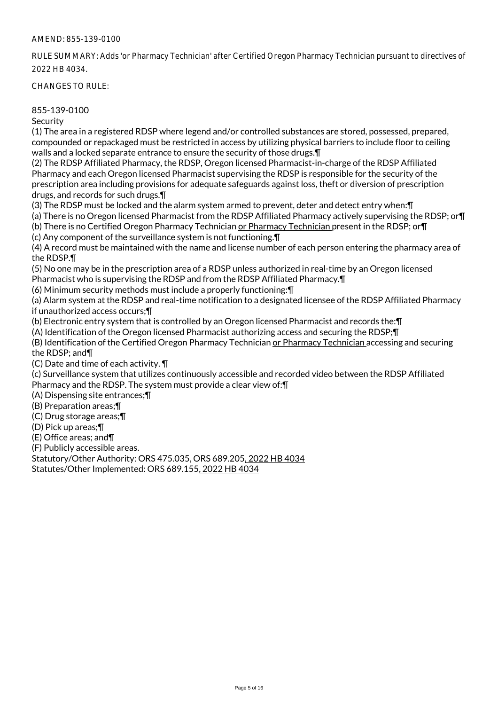RULE SUMMARY: Adds 'or Pharmacy Technician' after Certified Oregon Pharmacy Technician pursuant to directives of 2022 HB 4034.

CHANGES TO RULE:

## 855-139-0100

**Security** 

(1) The area in a registered RDSP where legend and/or controlled substances are stored, possessed, prepared, compounded or repackaged must be restricted in access by utilizing physical barriers to include floor to ceiling walls and a locked separate entrance to ensure the security of those drugs.¶

(2) The RDSP Affiliated Pharmacy, the RDSP, Oregon licensed Pharmacist-in-charge of the RDSP Affiliated Pharmacy and each Oregon licensed Pharmacist supervising the RDSP is responsible for the security of the prescription area including provisions for adequate safeguards against loss, theft or diversion of prescription drugs, and records for such drugs.¶

(3) The RDSP must be locked and the alarm system armed to prevent, deter and detect entry when:¶

(a) There is no Oregon licensed Pharmacist from the RDSP Affiliated Pharmacy actively supervising the RDSP; or¶ (b) There is no Certified Oregon Pharmacy Technician or Pharmacy Technician present in the RDSP; or¶

(c) Any component of the surveillance system is not functioning.¶

(4) A record must be maintained with the name and license number of each person entering the pharmacy area of the RDSP.¶

(5) No one may be in the prescription area of a RDSP unless authorized in real-time by an Oregon licensed Pharmacist who is supervising the RDSP and from the RDSP Affiliated Pharmacy.¶

(6) Minimum security methods must include a properly functioning:¶

(a) Alarm system at the RDSP and real-time notification to a designated licensee of the RDSP Affiliated Pharmacy if unauthorized access occurs;¶

(b) Electronic entry system that is controlled by an Oregon licensed Pharmacist and records the:¶

(A) Identification of the Oregon licensed Pharmacist authorizing access and securing the RDSP;¶

(B) Identification of the Certified Oregon Pharmacy Technician or Pharmacy Technician accessing and securing the RDSP; and¶

(C) Date and time of each activity. ¶

(c) Surveillance system that utilizes continuously accessible and recorded video between the RDSP Affiliated Pharmacy and the RDSP. The system must provide a clear view of:¶

(A) Dispensing site entrances;¶

(B) Preparation areas;¶

(C) Drug storage areas;¶

(D) Pick up areas;¶

(E) Office areas; and¶

(F) Publicly accessible areas.

Statutory/Other Authority: ORS 475.035, ORS 689.205, 2022 HB 4034

Statutes/Other Implemented: ORS 689.155, 2022 HB 4034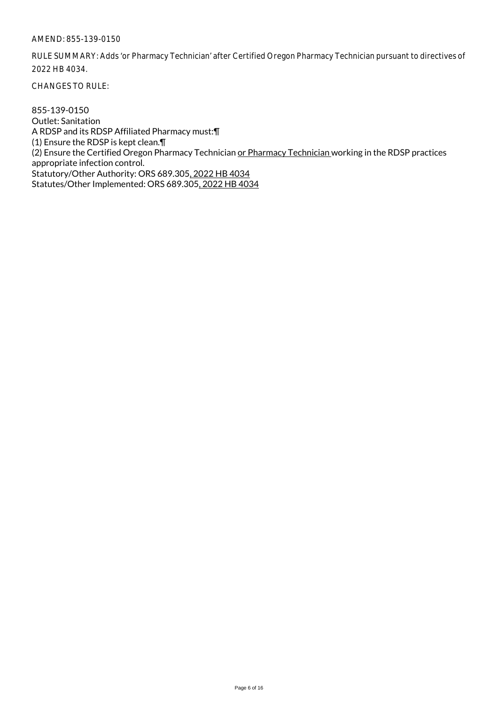RULE SUMMARY: Adds 'or Pharmacy Technician' after Certified Oregon Pharmacy Technician pursuant to directives of 2022 HB 4034.

CHANGES TO RULE:

855-139-0150 Outlet: Sanitation A RDSP and its RDSP Affiliated Pharmacy must:¶ (1) Ensure the RDSP is kept clean.¶ (2) Ensure the Certified Oregon Pharmacy Technician or Pharmacy Technician working in the RDSP practices appropriate infection control. Statutory/Other Authority: ORS 689.305, 2022 HB 4034 Statutes/Other Implemented: ORS 689.305, 2022 HB 4034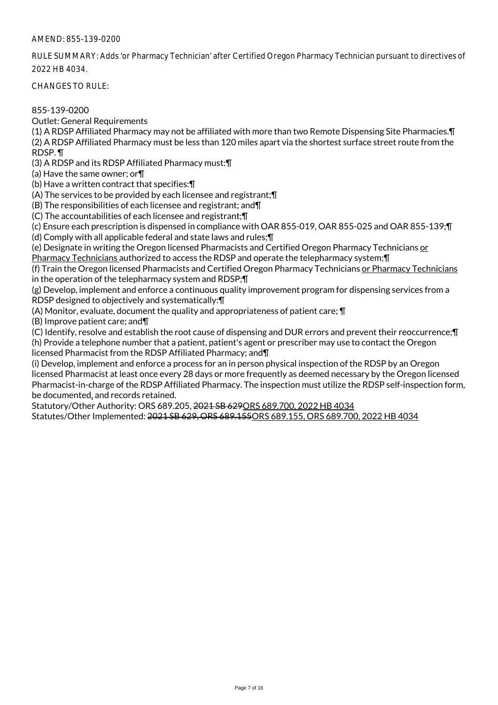RULE SUMMARY: Adds 'or Pharmacy Technician' after Certified Oregon Pharmacy Technician pursuant to directives of 2022 HB 4034.

CHANGES TO RULE:

855-139-0200

Outlet: General Requirements

(1) A RDSP Affiliated Pharmacy may not be affiliated with more than two Remote Dispensing Site Pharmacies.¶ (2) A RDSP Affiliated Pharmacy must be less than 120 miles apart via the shortest surface street route from the RDSP. ¶

(3) A RDSP and its RDSP Affiliated Pharmacy must:¶

(a) Have the same owner; or¶

(b) Have a written contract that specifies:¶

(A) The services to be provided by each licensee and registrant;¶

(B) The responsibilities of each licensee and registrant; and¶

(C) The accountabilities of each licensee and registrant;¶

(c) Ensure each prescription is dispensed in compliance with OAR 855-019, OAR 855-025 and OAR 855-139;¶

(d) Comply with all applicable federal and state laws and rules;¶

(e) Designate in writing the Oregon licensed Pharmacists and Certified Oregon Pharmacy Technicians or Pharmacy Technicians authorized to access the RDSP and operate the telepharmacy system;¶

(f) Train the Oregon licensed Pharmacists and Certified Oregon Pharmacy Technicians or Pharmacy Technicians in the operation of the telepharmacy system and RDSP;¶

(g) Develop, implement and enforce a continuous quality improvement program for dispensing services from a RDSP designed to objectively and systematically:¶

(A) Monitor, evaluate, document the quality and appropriateness of patient care; ¶

(B) Improve patient care; and¶

(C) Identify, resolve and establish the root cause of dispensing and DUR errors and prevent their reoccurrence;¶

(h) Provide a telephone number that a patient, patient's agent or prescriber may use to contact the Oregon licensed Pharmacist from the RDSP Affiliated Pharmacy; and¶

(i) Develop, implement and enforce a process for an in person physical inspection of the RDSP by an Oregon licensed Pharmacist at least once every 28 days or more frequently as deemed necessary by the Oregon licensed Pharmacist-in-charge of the RDSP Affiliated Pharmacy. The inspection must utilize the RDSP self-inspection form, be documented, and records retained.

Statutory/Other Authority: ORS 689.205, 2021 SB 629ORS 689.700, 2022 HB 4034

Statutes/Other Implemented: 2021 SB 629, ORS 689.155ORS 689.155, ORS 689.700, 2022 HB 4034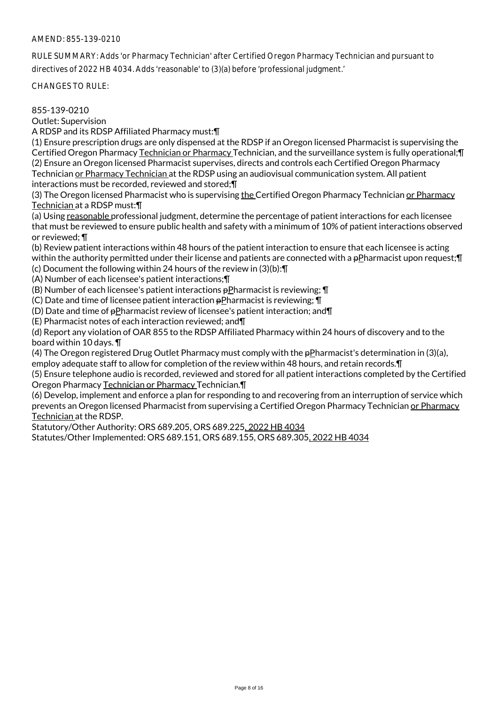RULE SUMMARY: Adds 'or Pharmacy Technician' after Certified Oregon Pharmacy Technician and pursuant to directives of 2022 HB 4034. Adds 'reasonable' to (3)(a) before 'professional judgment.'

CHANGES TO RULE:

855-139-0210

Outlet: Supervision

A RDSP and its RDSP Affiliated Pharmacy must:¶

(1) Ensure prescription drugs are only dispensed at the RDSP if an Oregon licensed Pharmacist is supervising the Certified Oregon Pharmacy Technician or Pharmacy Technician, and the surveillance system is fully operational;¶ (2) Ensure an Oregon licensed Pharmacist supervises, directs and controls each Certified Oregon Pharmacy Technician or Pharmacy Technician at the RDSP using an audiovisual communication system. All patient interactions must be recorded, reviewed and stored;¶

(3) The Oregon licensed Pharmacist who is supervising the Certified Oregon Pharmacy Technician or Pharmacy Technician at a RDSP must:¶

(a) Using reasonable professional judgment, determine the percentage of patient interactions for each licensee that must be reviewed to ensure public health and safety with a minimum of 10% of patient interactions observed or reviewed; ¶

(b) Review patient interactions within 48 hours of the patient interaction to ensure that each licensee is acting within the authority permitted under their license and patients are connected with a pPharmacist upon request; [ (c) Document the following within 24 hours of the review in (3)(b):¶

(A) Number of each licensee's patient interactions;¶

(B) Number of each licensee's patient interactions pPharmacist is reviewing; ¶

(C) Date and time of licensee patient interaction pPharmacist is reviewing; ¶

(D) Date and time of  $p$ Pharmacist review of licensee's patient interaction; and  $\P$ 

(E) Pharmacist notes of each interaction reviewed; and¶

(d) Report any violation of OAR 855 to the RDSP Affiliated Pharmacy within 24 hours of discovery and to the board within 10 days. ¶

(4) The Oregon registered Drug Outlet Pharmacy must comply with the pPharmacist's determination in (3)(a), employ adequate staff to allow for completion of the review within 48 hours, and retain records.¶

(5) Ensure telephone audio is recorded, reviewed and stored for all patient interactions completed by the Certified Oregon Pharmacy Technician or Pharmacy Technician.¶

(6) Develop, implement and enforce a plan for responding to and recovering from an interruption of service which prevents an Oregon licensed Pharmacist from supervising a Certified Oregon Pharmacy Technician or Pharmacy Technician at the RDSP.

Statutory/Other Authority: ORS 689.205, ORS 689.225, 2022 HB 4034

Statutes/Other Implemented: ORS 689.151, ORS 689.155, ORS 689.305, 2022 HB 4034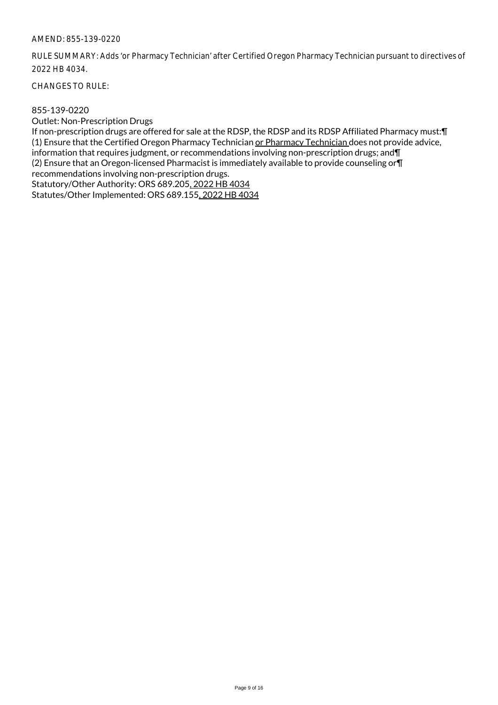RULE SUMMARY: Adds 'or Pharmacy Technician' after Certified Oregon Pharmacy Technician pursuant to directives of 2022 HB 4034.

CHANGES TO RULE:

## 855-139-0220

Outlet: Non-Prescription Drugs

If non-prescription drugs are offered for sale at the RDSP, the RDSP and its RDSP Affiliated Pharmacy must:¶ (1) Ensure that the Certified Oregon Pharmacy Technician or Pharmacy Technician does not provide advice, information that requires judgment, or recommendations involving non-prescription drugs; and¶ (2) Ensure that an Oregon-licensed Pharmacist is immediately available to provide counseling or¶ recommendations involving non-prescription drugs. Statutory/Other Authority: ORS 689.205, 2022 HB 4034 Statutes/Other Implemented: ORS 689.155, 2022 HB 4034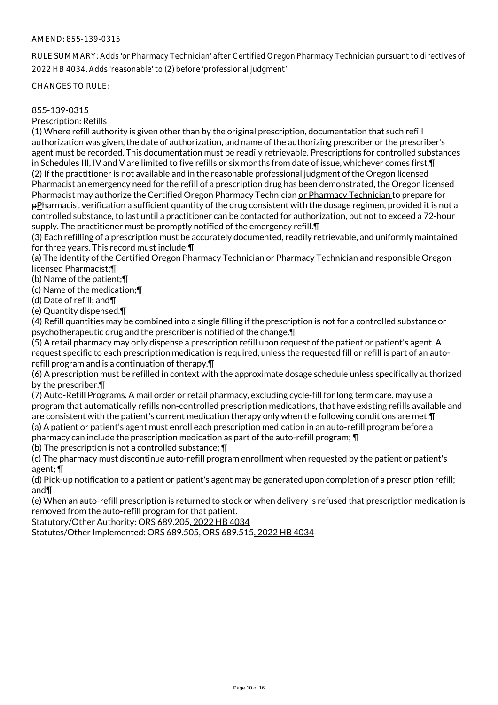RULE SUMMARY: Adds 'or Pharmacy Technician' after Certified Oregon Pharmacy Technician pursuant to directives of 2022 HB 4034. Adds 'reasonable' to (2) before 'professional judgment'.

CHANGES TO RULE:

# 855-139-0315

Prescription: Refills

(1) Where refill authority is given other than by the original prescription, documentation that such refill authorization was given, the date of authorization, and name of the authorizing prescriber or the prescriber's agent must be recorded. This documentation must be readily retrievable. Prescriptions for controlled substances in Schedules III, IV and V are limited to five refills or six months from date of issue, whichever comes first.¶ (2) If the practitioner is not available and in the reasonable professional judgment of the Oregon licensed Pharmacist an emergency need for the refill of a prescription drug has been demonstrated, the Oregon licensed Pharmacist may authorize the Certified Oregon Pharmacy Technician or Pharmacy Technician to prepare for pPharmacist verification a sufficient quantity of the drug consistent with the dosage regimen, provided it is not a controlled substance, to last until a practitioner can be contacted for authorization, but not to exceed a 72-hour supply. The practitioner must be promptly notified of the emergency refill. T

(3) Each refilling of a prescription must be accurately documented, readily retrievable, and uniformly maintained for three years. This record must include;¶

(a) The identity of the Certified Oregon Pharmacy Technician or Pharmacy Technician and responsible Oregon licensed Pharmacist;¶

(b) Name of the patient;¶

(c) Name of the medication;¶

(d) Date of refill; and¶

(e) Quantity dispensed.¶

(4) Refill quantities may be combined into a single filling if the prescription is not for a controlled substance or psychotherapeutic drug and the prescriber is notified of the change.¶

(5) A retail pharmacy may only dispense a prescription refill upon request of the patient or patient's agent. A request specific to each prescription medication is required, unless the requested fill or refill is part of an autorefill program and is a continuation of therapy.¶

(6) A prescription must be refilled in context with the approximate dosage schedule unless specifically authorized by the prescriber.¶

(7) Auto-Refill Programs. A mail order or retail pharmacy, excluding cycle-fill for long term care, may use a program that automatically refills non-controlled prescription medications, that have existing refills available and are consistent with the patient's current medication therapy only when the following conditions are met:¶ (a) A patient or patient's agent must enroll each prescription medication in an auto-refill program before a

pharmacy can include the prescription medication as part of the auto-refill program; ¶

(b) The prescription is not a controlled substance; ¶

(c) The pharmacy must discontinue auto-refill program enrollment when requested by the patient or patient's agent; ¶

(d) Pick-up notification to a patient or patient's agent may be generated upon completion of a prescription refill; and¶

(e) When an auto-refill prescription is returned to stock or when delivery is refused that prescription medication is removed from the auto-refill program for that patient.

Statutory/Other Authority: ORS 689.205, 2022 HB 4034

Statutes/Other Implemented: ORS 689.505, ORS 689.515, 2022 HB 4034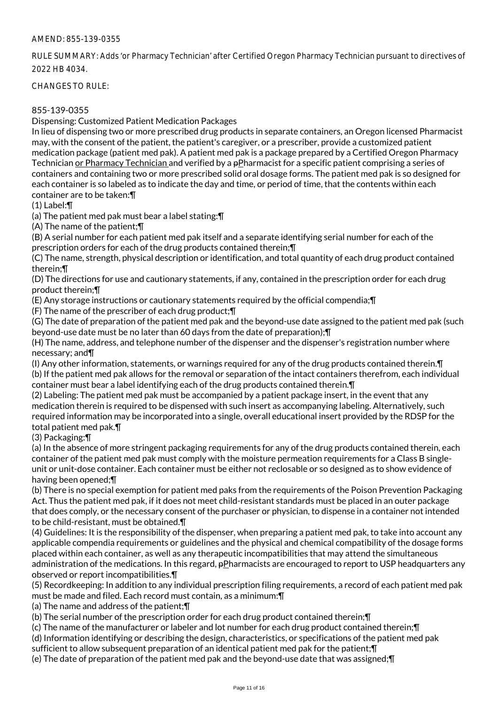RULE SUMMARY: Adds 'or Pharmacy Technician' after Certified Oregon Pharmacy Technician pursuant to directives of 2022 HB 4034.

CHANGES TO RULE:

# 855-139-0355

Dispensing: Customized Patient Medication Packages

In lieu of dispensing two or more prescribed drug products in separate containers, an Oregon licensed Pharmacist may, with the consent of the patient, the patient's caregiver, or a prescriber, provide a customized patient medication package (patient med pak). A patient med pak is a package prepared by a Certified Oregon Pharmacy Technician or Pharmacy Technician and verified by a pPharmacist for a specific patient comprising a series of containers and containing two or more prescribed solid oral dosage forms. The patient med pak is so designed for each container is so labeled as to indicate the day and time, or period of time, that the contents within each container are to be taken:¶

(1) Label:¶

(a) The patient med pak must bear a label stating:¶

(A) The name of the patient;¶

(B) A serial number for each patient med pak itself and a separate identifying serial number for each of the prescription orders for each of the drug products contained therein;¶

(C) The name, strength, physical description or identification, and total quantity of each drug product contained therein;¶

(D) The directions for use and cautionary statements, if any, contained in the prescription order for each drug product therein;¶

(E) Any storage instructions or cautionary statements required by the official compendia;¶

(F) The name of the prescriber of each drug product;¶

(G) The date of preparation of the patient med pak and the beyond-use date assigned to the patient med pak (such beyond-use date must be no later than 60 days from the date of preparation);¶

(H) The name, address, and telephone number of the dispenser and the dispenser's registration number where necessary; and¶

(I) Any other information, statements, or warnings required for any of the drug products contained therein.¶ (b) If the patient med pak allows for the removal or separation of the intact containers therefrom, each individual container must bear a label identifying each of the drug products contained therein.¶

(2) Labeling: The patient med pak must be accompanied by a patient package insert, in the event that any medication therein is required to be dispensed with such insert as accompanying labeling. Alternatively, such required information may be incorporated into a single, overall educational insert provided by the RDSP for the total patient med pak.¶

(3) Packaging:¶

(a) In the absence of more stringent packaging requirements for any of the drug products contained therein, each container of the patient med pak must comply with the moisture permeation requirements for a Class B singleunit or unit-dose container. Each container must be either not reclosable or so designed as to show evidence of having been opened;¶

(b) There is no special exemption for patient med paks from the requirements of the Poison Prevention Packaging Act. Thus the patient med pak, if it does not meet child-resistant standards must be placed in an outer package that does comply, or the necessary consent of the purchaser or physician, to dispense in a container not intended to be child-resistant, must be obtained.¶

(4) Guidelines: It is the responsibility of the dispenser, when preparing a patient med pak, to take into account any applicable compendia requirements or guidelines and the physical and chemical compatibility of the dosage forms placed within each container, as well as any therapeutic incompatibilities that may attend the simultaneous administration of the medications. In this regard, pPharmacists are encouraged to report to USP headquarters any observed or report incompatibilities.¶

(5) Recordkeeping: In addition to any individual prescription filing requirements, a record of each patient med pak must be made and filed. Each record must contain, as a minimum:¶

(a) The name and address of the patient;¶

(b) The serial number of the prescription order for each drug product contained therein;¶

(c) The name of the manufacturer or labeler and lot number for each drug product contained therein;¶

(d) Information identifying or describing the design, characteristics, or specifications of the patient med pak

sufficient to allow subsequent preparation of an identical patient med pak for the patient;¶

(e) The date of preparation of the patient med pak and the beyond-use date that was assigned;¶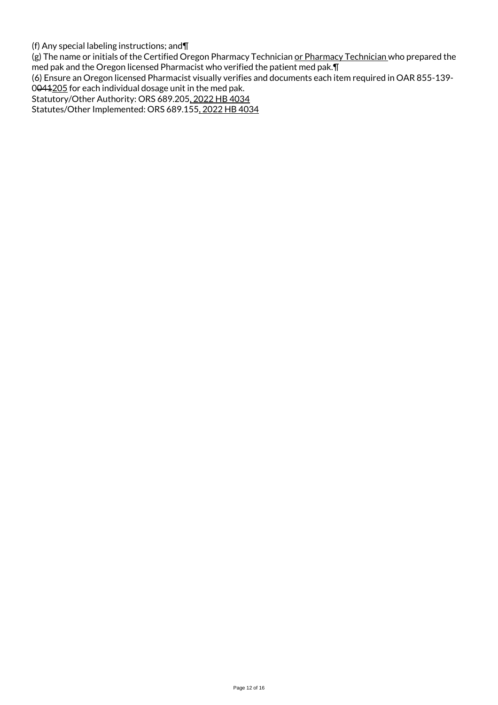(f) Any special labeling instructions; and¶

(g) The name or initials of the Certified Oregon Pharmacy Technician or Pharmacy Technician who prepared the med pak and the Oregon licensed Pharmacist who verified the patient med pak.¶

(6) Ensure an Oregon licensed Pharmacist visually verifies and documents each item required in OAR 855-139-

0041205 for each individual dosage unit in the med pak.

Statutory/Other Authority: ORS 689.205, 2022 HB 4034

Statutes/Other Implemented: ORS 689.155, 2022 HB 4034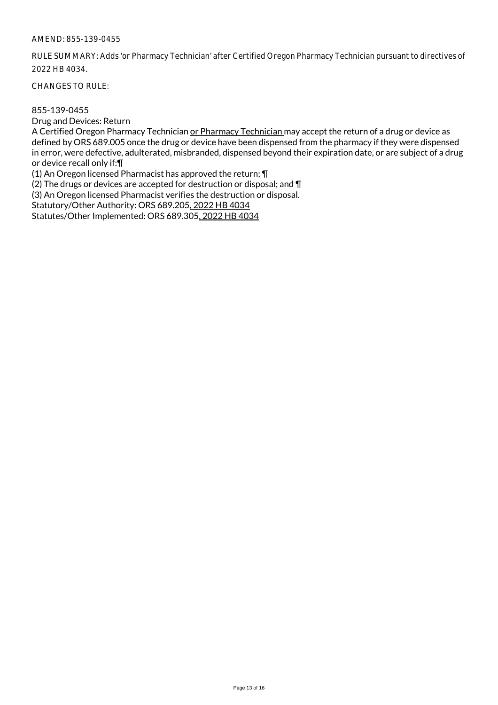RULE SUMMARY: Adds 'or Pharmacy Technician' after Certified Oregon Pharmacy Technician pursuant to directives of 2022 HB 4034.

CHANGES TO RULE:

#### 855-139-0455

Drug and Devices: Return

A Certified Oregon Pharmacy Technician or Pharmacy Technician may accept the return of a drug or device as defined by ORS 689.005 once the drug or device have been dispensed from the pharmacy if they were dispensed in error, were defective, adulterated, misbranded, dispensed beyond their expiration date, or are subject of a drug or device recall only if:¶

(1) An Oregon licensed Pharmacist has approved the return; ¶

(2) The drugs or devices are accepted for destruction or disposal; and ¶

(3) An Oregon licensed Pharmacist verifies the destruction or disposal.

Statutory/Other Authority: ORS 689.205, 2022 HB 4034

Statutes/Other Implemented: ORS 689.305, 2022 HB 4034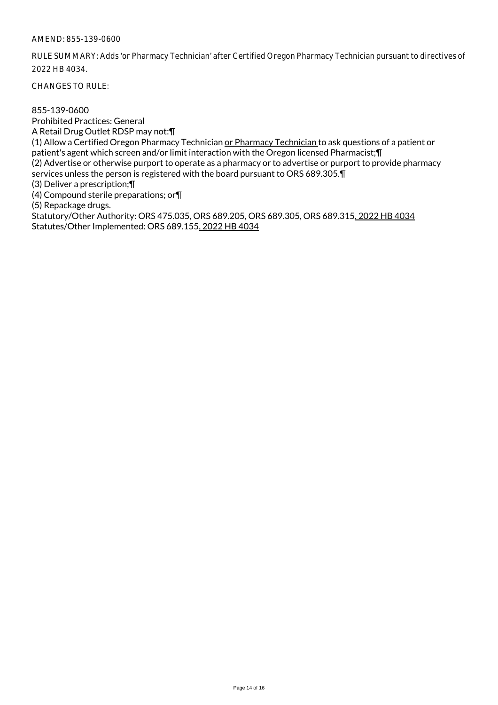RULE SUMMARY: Adds 'or Pharmacy Technician' after Certified Oregon Pharmacy Technician pursuant to directives of 2022 HB 4034.

CHANGES TO RULE:

855-139-0600 Prohibited Practices: General A Retail Drug Outlet RDSP may not:¶ (1) Allow a Certified Oregon Pharmacy Technician or Pharmacy Technician to ask questions of a patient or patient's agent which screen and/or limit interaction with the Oregon licensed Pharmacist;¶ (2) Advertise or otherwise purport to operate as a pharmacy or to advertise or purport to provide pharmacy services unless the person is registered with the board pursuant to ORS 689.305.¶ (3) Deliver a prescription;¶ (4) Compound sterile preparations; or¶ (5) Repackage drugs. Statutory/Other Authority: ORS 475.035, ORS 689.205, ORS 689.305, ORS 689.315, 2022 HB 4034 Statutes/Other Implemented: ORS 689.155, 2022 HB 4034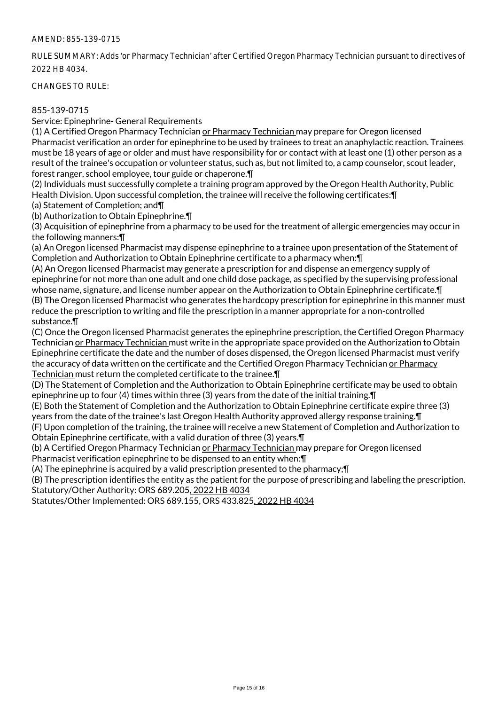RULE SUMMARY: Adds 'or Pharmacy Technician' after Certified Oregon Pharmacy Technician pursuant to directives of 2022 HB 4034.

CHANGES TO RULE:

# 855-139-0715

Service: Epinephrine- General Requirements

(1) A Certified Oregon Pharmacy Technician or Pharmacy Technician may prepare for Oregon licensed Pharmacist verification an order for epinephrine to be used by trainees to treat an anaphylactic reaction. Trainees must be 18 years of age or older and must have responsibility for or contact with at least one (1) other person as a result of the trainee's occupation or volunteer status, such as, but not limited to, a camp counselor, scout leader, forest ranger, school employee, tour guide or chaperone.¶

(2) Individuals must successfully complete a training program approved by the Oregon Health Authority, Public Health Division. Upon successful completion, the trainee will receive the following certificates:¶

(a) Statement of Completion; and¶

(b) Authorization to Obtain Epinephrine.¶

(3) Acquisition of epinephrine from a pharmacy to be used for the treatment of allergic emergencies may occur in the following manners:¶

(a) An Oregon licensed Pharmacist may dispense epinephrine to a trainee upon presentation of the Statement of Completion and Authorization to Obtain Epinephrine certificate to a pharmacy when:¶

(A) An Oregon licensed Pharmacist may generate a prescription for and dispense an emergency supply of epinephrine for not more than one adult and one child dose package, as specified by the supervising professional whose name, signature, and license number appear on the Authorization to Obtain Epinephrine certificate.¶ (B) The Oregon licensed Pharmacist who generates the hardcopy prescription for epinephrine in this manner must reduce the prescription to writing and file the prescription in a manner appropriate for a non-controlled substance.¶

(C) Once the Oregon licensed Pharmacist generates the epinephrine prescription, the Certified Oregon Pharmacy Technician or Pharmacy Technician must write in the appropriate space provided on the Authorization to Obtain Epinephrine certificate the date and the number of doses dispensed, the Oregon licensed Pharmacist must verify the accuracy of data written on the certificate and the Certified Oregon Pharmacy Technician or Pharmacy Technician must return the completed certificate to the trainee.¶

(D) The Statement of Completion and the Authorization to Obtain Epinephrine certificate may be used to obtain epinephrine up to four (4) times within three (3) years from the date of the initial training.¶

(E) Both the Statement of Completion and the Authorization to Obtain Epinephrine certificate expire three (3) years from the date of the trainee's last Oregon Health Authority approved allergy response training.¶

(F) Upon completion of the training, the trainee will receive a new Statement of Completion and Authorization to Obtain Epinephrine certificate, with a valid duration of three (3) years.¶

(b) A Certified Oregon Pharmacy Technician or Pharmacy Technician may prepare for Oregon licensed Pharmacist verification epinephrine to be dispensed to an entity when:¶

(A) The epinephrine is acquired by a valid prescription presented to the pharmacy;¶

(B) The prescription identifies the entity as the patient for the purpose of prescribing and labeling the prescription. Statutory/Other Authority: ORS 689.205, 2022 HB 4034

Statutes/Other Implemented: ORS 689.155, ORS 433.825, 2022 HB 4034